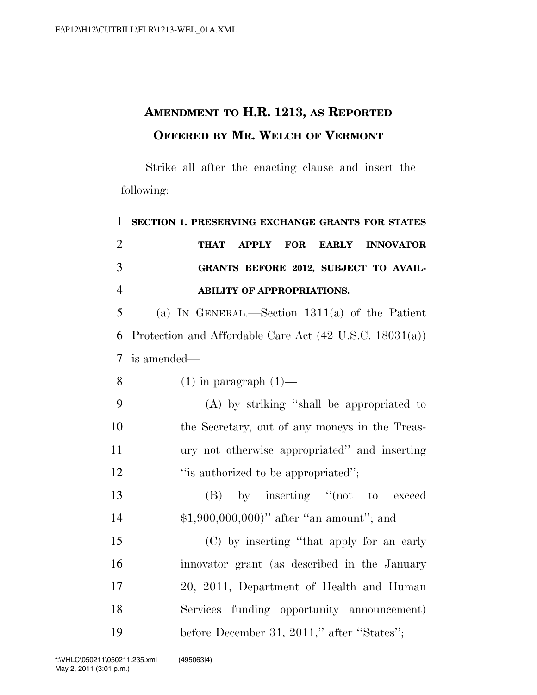## **AMENDMENT TO H.R. 1213, AS REPORTED OFFERED BY MR. WELCH OF VERMONT**

Strike all after the enacting clause and insert the following:

| $\mathbf{1}$   | SECTION 1. PRESERVING EXCHANGE GRANTS FOR STATES                   |
|----------------|--------------------------------------------------------------------|
| $\overline{2}$ | APPLY FOR<br>EARLY INNOVATOR<br><b>THAT</b>                        |
| 3              | GRANTS BEFORE 2012, SUBJECT TO AVAIL-                              |
| $\overline{4}$ | ABILITY OF APPROPRIATIONS.                                         |
| 5              | (a) IN GENERAL.—Section $1311(a)$ of the Patient                   |
| 6              | Protection and Affordable Care Act $(42 \text{ U.S.C. } 18031(a))$ |
| $\overline{7}$ | is amended—                                                        |
| 8              | $(1)$ in paragraph $(1)$ —                                         |
| 9              | (A) by striking "shall be appropriated to                          |
| 10             | the Secretary, out of any moneys in the Treas-                     |
| 11             | ury not otherwise appropriated" and inserting                      |
| 12             | "is authorized to be appropriated";                                |
| 13             | $(B)$ by inserting "(not to exceed                                 |
| 14             | $$1,900,000,000$ " after "an amount"; and                          |
| 15             | (C) by inserting "that apply for an early                          |
| 16             | innovator grant (as described in the January                       |
| 17             | 20, 2011, Department of Health and Human                           |
| 18             | Services funding opportunity announcement)                         |
| 19             | before December 31, 2011," after "States";                         |